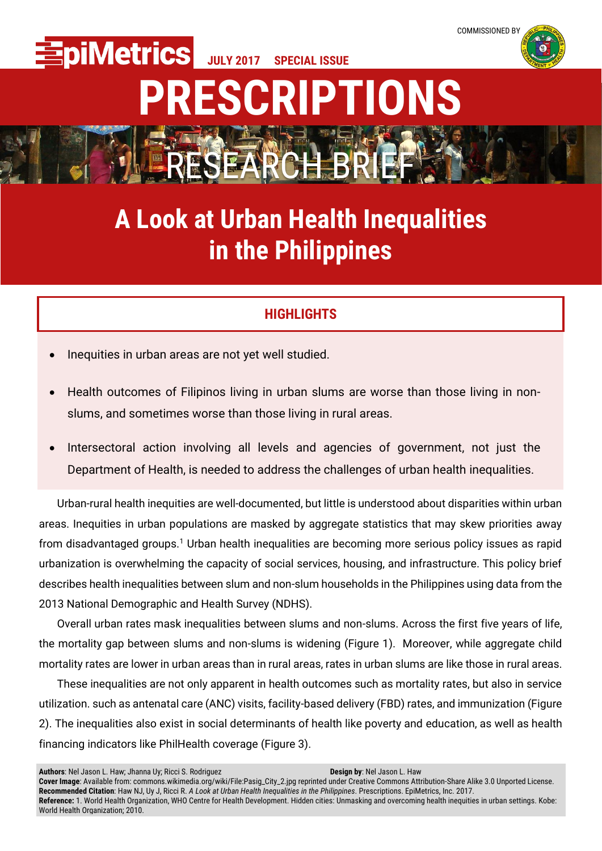**JULY 2017 SPECIAL ISSUE**



## **PRESCRIPTIONS**

**A Look at Urban Health Inequalities in the Philippines**

RESEARCH BRIEF

## **HIGHLIGHTS**

Inequities in urban areas are not yet well studied.

**piMetrics** 

- Health outcomes of Filipinos living in urban slums are worse than those living in nonslums, and sometimes worse than those living in rural areas.
- Intersectoral action involving all levels and agencies of government, not just the Department of Health, is needed to address the challenges of urban health inequalities.

Urban-rural health inequities are well-documented, but little is understood about disparities within urban areas. Inequities in urban populations are masked by aggregate statistics that may skew priorities away from disadvantaged groups.<sup>1</sup> Urban health inequalities are becoming more serious policy issues as rapid urbanization is overwhelming the capacity of social services, housing, and infrastructure. This policy brief describes health inequalities between slum and non-slum households in the Philippines using data from the 2013 National Demographic and Health Survey (NDHS).

Overall urban rates mask inequalities between slums and non-slums. Across the first five years of life, the mortality gap between slums and non-slums is widening (Figure 1). Moreover, while aggregate child mortality rates are lower in urban areas than in rural areas, rates in urban slums are like those in rural areas.

These inequalities are not only apparent in health outcomes such as mortality rates, but also in service utilization. such as antenatal care (ANC) visits, facility-based delivery (FBD) rates, and immunization (Figure 2). The inequalities also exist in social determinants of health like poverty and education, as well as health financing indicators like PhilHealth coverage (Figure 3).

**Authors**: Nel Jason L. Haw; Jhanna Uy; Ricci S. Rodriguez **Design by**: Nel Jason L. Haw **Cover Image**: Available from: commons.wikimedia.org/wiki/File:Pasig\_City\_2.jpg reprinted under Creative Commons Attribution-Share Alike 3.0 Unported License. **Recommended Citation**: Haw NJ, Uy J, Ricci R. *A Look at Urban Health Inequalities in the Philippines*. Prescriptions. EpiMetrics, Inc. 2017. **Reference:** 1. World Health Organization, WHO Centre for Health Development. Hidden cities: Unmasking and overcoming health inequities in urban settings. Kobe: World Health Organization; 2010.